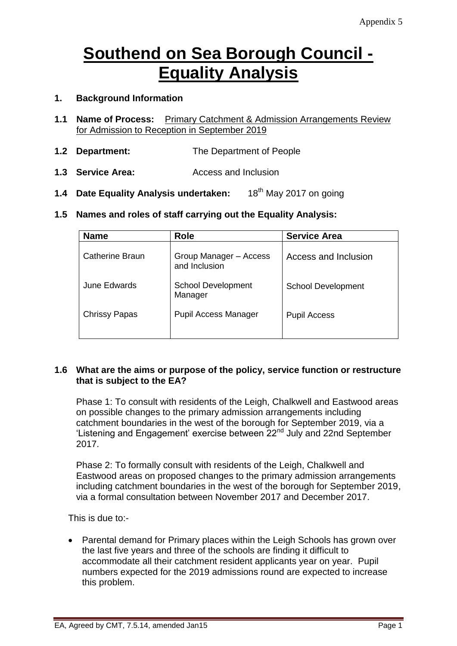# **Southend on Sea Borough Council - Equality Analysis**

# **1. Background Information**

- **1.1 Name of Process:** Primary Catchment & Admission Arrangements Review for Admission to Reception in September 2019
- **1.2 Department:** The Department of People
- **1.3 Service Area:** Access and Inclusion
- **1.4 Date Equality Analysis undertaken:** 18th May 2017 on going
- **1.5 Names and roles of staff carrying out the Equality Analysis:**

| <b>Name</b>          | <b>Role</b>                             | <b>Service Area</b>       |
|----------------------|-----------------------------------------|---------------------------|
| Catherine Braun      | Group Manager - Access<br>and Inclusion | Access and Inclusion      |
| June Edwards         | <b>School Development</b><br>Manager    | <b>School Development</b> |
| <b>Chrissy Papas</b> | <b>Pupil Access Manager</b>             | <b>Pupil Access</b>       |

#### **1.6 What are the aims or purpose of the policy, service function or restructure that is subject to the EA?**

Phase 1: To consult with residents of the Leigh, Chalkwell and Eastwood areas on possible changes to the primary admission arrangements including catchment boundaries in the west of the borough for September 2019, via a 'Listening and Engagement' exercise between 22nd July and 22nd September 2017.

Phase 2: To formally consult with residents of the Leigh, Chalkwell and Eastwood areas on proposed changes to the primary admission arrangements including catchment boundaries in the west of the borough for September 2019, via a formal consultation between November 2017 and December 2017.

This is due to:-

• Parental demand for Primary places within the Leigh Schools has grown over the last five years and three of the schools are finding it difficult to accommodate all their catchment resident applicants year on year. Pupil numbers expected for the 2019 admissions round are expected to increase this problem.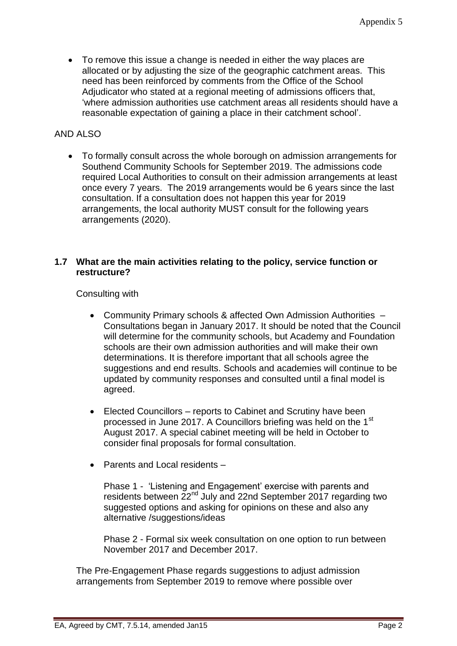To remove this issue a change is needed in either the way places are allocated or by adjusting the size of the geographic catchment areas. This need has been reinforced by comments from the Office of the School Adjudicator who stated at a regional meeting of admissions officers that, 'where admission authorities use catchment areas all residents should have a reasonable expectation of gaining a place in their catchment school'.

# AND ALSO

 To formally consult across the whole borough on admission arrangements for Southend Community Schools for September 2019. The admissions code required Local Authorities to consult on their admission arrangements at least once every 7 years. The 2019 arrangements would be 6 years since the last consultation. If a consultation does not happen this year for 2019 arrangements, the local authority MUST consult for the following years arrangements (2020).

#### **1.7 What are the main activities relating to the policy, service function or restructure?**

Consulting with

- Community Primary schools & affected Own Admission Authorities Consultations began in January 2017. It should be noted that the Council will determine for the community schools, but Academy and Foundation schools are their own admission authorities and will make their own determinations. It is therefore important that all schools agree the suggestions and end results. Schools and academies will continue to be updated by community responses and consulted until a final model is agreed.
- Elected Councillors reports to Cabinet and Scrutiny have been processed in June 2017. A Councillors briefing was held on the 1<sup>st</sup> August 2017. A special cabinet meeting will be held in October to consider final proposals for formal consultation.
- Parents and Local residents –

Phase 1 - 'Listening and Engagement' exercise with parents and residents between 22<sup>nd</sup> July and 22nd September 2017 regarding two suggested options and asking for opinions on these and also any alternative /suggestions/ideas

Phase 2 - Formal six week consultation on one option to run between November 2017 and December 2017.

The Pre-Engagement Phase regards suggestions to adjust admission arrangements from September 2019 to remove where possible over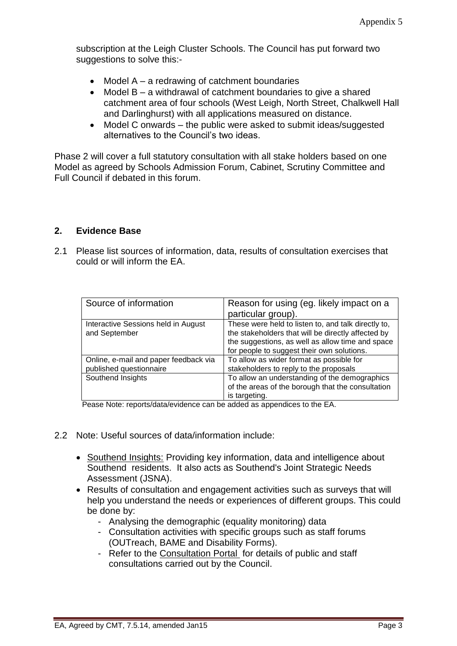subscription at the Leigh Cluster Schools. The Council has put forward two suggestions to solve this:-

- $\bullet$  Model A a redrawing of catchment boundaries
- Model B a withdrawal of catchment boundaries to give a shared catchment area of four schools (West Leigh, North Street, Chalkwell Hall and Darlinghurst) with all applications measured on distance.
- Model C onwards the public were asked to submit ideas/suggested alternatives to the Council's two ideas.

Phase 2 will cover a full statutory consultation with all stake holders based on one Model as agreed by Schools Admission Forum, Cabinet, Scrutiny Committee and Full Council if debated in this forum.

# **2. Evidence Base**

2.1 Please list sources of information, data, results of consultation exercises that could or will inform the EA.

| Source of information                                            | Reason for using (eg. likely impact on a<br>particular group).                                                                                                                                              |
|------------------------------------------------------------------|-------------------------------------------------------------------------------------------------------------------------------------------------------------------------------------------------------------|
| Interactive Sessions held in August<br>and September             | These were held to listen to, and talk directly to,<br>the stakeholders that will be directly affected by<br>the suggestions, as well as allow time and space<br>for people to suggest their own solutions. |
| Online, e-mail and paper feedback via<br>published questionnaire | To allow as wider format as possible for<br>stakeholders to reply to the proposals                                                                                                                          |
| Southend Insights                                                | To allow an understanding of the demographics<br>of the areas of the borough that the consultation<br>is targeting.                                                                                         |

Pease Note: reports/data/evidence can be added as appendices to the EA.

- 2.2 Note: Useful sources of data/information include:
	- [Southend Insights:](http://www.southend.gov.uk/info/200441/southend_insights) Providing key information, data and intelligence about Southend residents. It also acts as Southend's Joint Strategic Needs Assessment (JSNA).
	- Results of consultation and engagement activities such as surveys that will help you understand the needs or experiences of different groups. This could be done by:
		- Analysing the demographic (equality monitoring) data
		- Consultation activities with specific groups such as staff forums (OUTreach, BAME and Disability Forms).
		- Refer to the [Consultation Portal](http://www.southend.gov.uk/info/200402/give_your_view/447/consultation_and_engagement) for details of public and staff consultations carried out by the Council.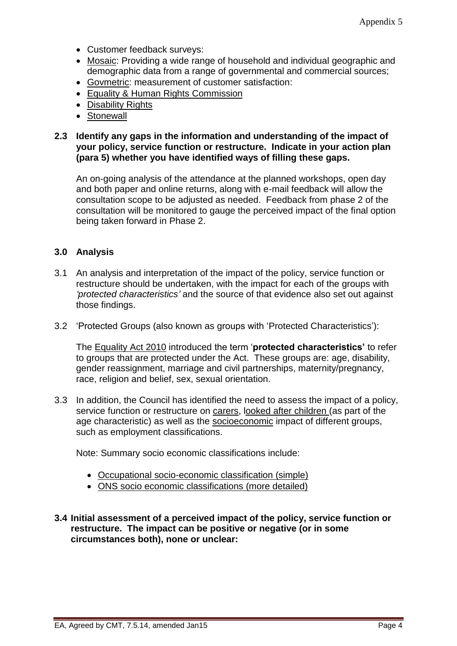- Customer feedback surveys:
- [Mosaic:](http://seattle/Pages/MOSAIC.aspx) Providing a wide range of household and individual geographic and demographic data from a range of governmental and commercial sources;
- [Govmetric:](http://seattle/Pages/GovMetric.aspx) measurement of customer satisfaction:
- [Equality & Human Rights Commission](http://www.equalityhumanrights.com/)
- [Disability Rights](http://www.disabilityrightsuk.org/)
- [Stonewall](http://www.stonewall.org.uk/)

#### **2.3 Identify any gaps in the information and understanding of the impact of your policy, service function or restructure. Indicate in your action plan (para 5) whether you have identified ways of filling these gaps.**

An on-going analysis of the attendance at the planned workshops, open day and both paper and online returns, along with e-mail feedback will allow the consultation scope to be adjusted as needed. Feedback from phase 2 of the consultation will be monitored to gauge the perceived impact of the final option being taken forward in Phase 2.

# **3.0 Analysis**

- 3.1 An analysis and interpretation of the impact of the policy, service function or restructure should be undertaken, with the impact for each of the groups with *'protected characteristics'* and the source of that evidence also set out against those findings.
- 3.2 'Protected Groups (also known as groups with 'Protected Characteristics'):

The [Equality Act 2010](http://www.legislation.gov.uk/ukpga/2010/15/contents) introduced the term '**protected characteristics'** to refer to groups that are protected under the Act. These groups are: age, disability, gender reassignment, marriage and civil partnerships, maternity/pregnancy, race, religion and belief, sex, sexual orientation.

3.3 In addition, the Council has identified the need to assess the impact of a policy, service function or restructure on carers, looked after children (as part of the age characteristic) as well as the socioeconomic impact of different groups, such as employment classifications.

Note: Summary socio economic classifications include:

- [Occupational socio-economic classification \(simple\)](http://en.wikipedia.org/wiki/NRS_social_grade)
- [ONS socio economic classifications](http://www.ons.gov.uk/ons/guide-method/classifications/current-standard-classifications/soc2010/soc2010-volume-3-ns-sec--rebased-on-soc2010--user-manual/index.html) (more detailed)

**3.4 Initial assessment of a perceived impact of the policy, service function or restructure. The impact can be positive or negative (or in some circumstances both), none or unclear:**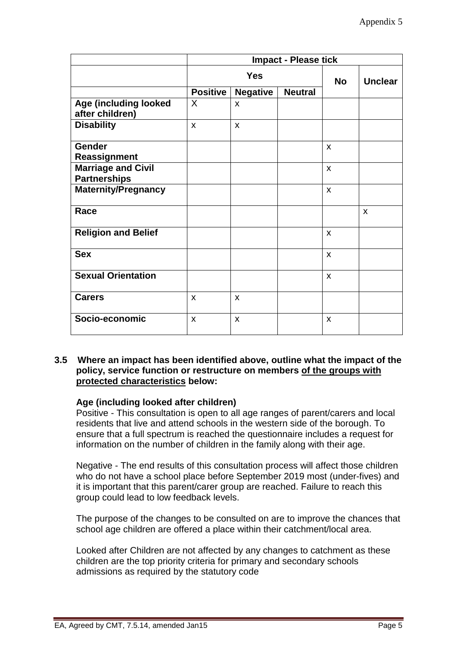|                                                  | <b>Impact - Please tick</b> |                 |                |                           |                |
|--------------------------------------------------|-----------------------------|-----------------|----------------|---------------------------|----------------|
|                                                  | <b>Yes</b>                  |                 |                | <b>No</b>                 | <b>Unclear</b> |
|                                                  | <b>Positive</b>             | <b>Negative</b> | <b>Neutral</b> |                           |                |
| Age (including looked<br>after children)         | X                           | X               |                |                           |                |
| <b>Disability</b>                                | $\mathbf{x}$                | X               |                |                           |                |
| <b>Gender</b><br>Reassignment                    |                             |                 |                | $\boldsymbol{\mathsf{x}}$ |                |
| <b>Marriage and Civil</b><br><b>Partnerships</b> |                             |                 |                | X                         |                |
| <b>Maternity/Pregnancy</b>                       |                             |                 |                | X                         |                |
| Race                                             |                             |                 |                |                           | X              |
| <b>Religion and Belief</b>                       |                             |                 |                | X                         |                |
| <b>Sex</b>                                       |                             |                 |                | X                         |                |
| <b>Sexual Orientation</b>                        |                             |                 |                | $\mathsf{x}$              |                |
| <b>Carers</b>                                    | $\boldsymbol{\mathsf{x}}$   | X               |                |                           |                |
| Socio-economic                                   | $\boldsymbol{\mathsf{x}}$   | X               |                | X                         |                |

#### **3.5 Where an impact has been identified above, outline what the impact of the policy, service function or restructure on members of the groups with protected characteristics below:**

#### **Age (including looked after children)**

Positive - This consultation is open to all age ranges of parent/carers and local residents that live and attend schools in the western side of the borough. To ensure that a full spectrum is reached the questionnaire includes a request for information on the number of children in the family along with their age.

Negative - The end results of this consultation process will affect those children who do not have a school place before September 2019 most (under-fives) and it is important that this parent/carer group are reached. Failure to reach this group could lead to low feedback levels.

The purpose of the changes to be consulted on are to improve the chances that school age children are offered a place within their catchment/local area.

Looked after Children are not affected by any changes to catchment as these children are the top priority criteria for primary and secondary schools admissions as required by the statutory code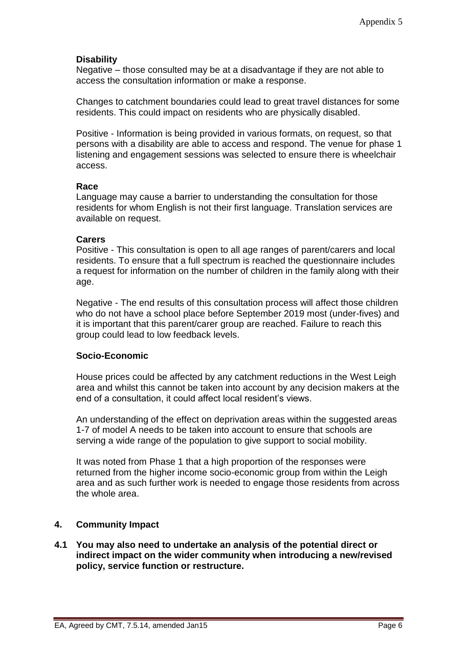### **Disability**

Negative – those consulted may be at a disadvantage if they are not able to access the consultation information or make a response.

Changes to catchment boundaries could lead to great travel distances for some residents. This could impact on residents who are physically disabled.

Positive - Information is being provided in various formats, on request, so that persons with a disability are able to access and respond. The venue for phase 1 listening and engagement sessions was selected to ensure there is wheelchair access.

#### **Race**

Language may cause a barrier to understanding the consultation for those residents for whom English is not their first language. Translation services are available on request.

#### **Carers**

Positive - This consultation is open to all age ranges of parent/carers and local residents. To ensure that a full spectrum is reached the questionnaire includes a request for information on the number of children in the family along with their age.

Negative - The end results of this consultation process will affect those children who do not have a school place before September 2019 most (under-fives) and it is important that this parent/carer group are reached. Failure to reach this group could lead to low feedback levels.

#### **Socio-Economic**

House prices could be affected by any catchment reductions in the West Leigh area and whilst this cannot be taken into account by any decision makers at the end of a consultation, it could affect local resident's views.

An understanding of the effect on deprivation areas within the suggested areas 1-7 of model A needs to be taken into account to ensure that schools are serving a wide range of the population to give support to social mobility.

It was noted from Phase 1 that a high proportion of the responses were returned from the higher income socio-economic group from within the Leigh area and as such further work is needed to engage those residents from across the whole area.

#### **4. Community Impact**

**4.1 You may also need to undertake an analysis of the potential direct or indirect impact on the wider community when introducing a new/revised policy, service function or restructure.**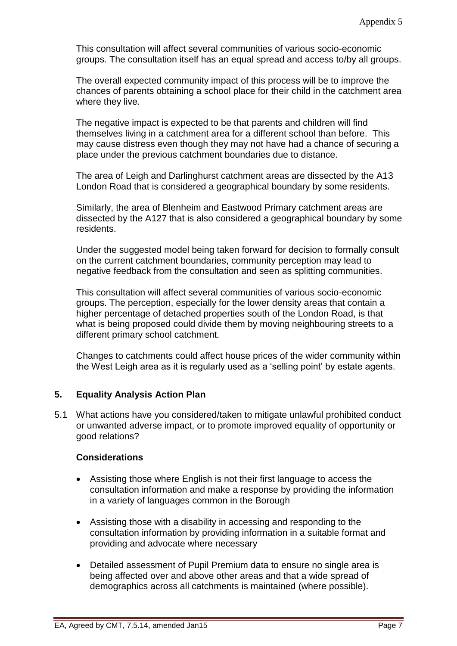This consultation will affect several communities of various socio-economic groups. The consultation itself has an equal spread and access to/by all groups.

The overall expected community impact of this process will be to improve the chances of parents obtaining a school place for their child in the catchment area where they live.

The negative impact is expected to be that parents and children will find themselves living in a catchment area for a different school than before. This may cause distress even though they may not have had a chance of securing a place under the previous catchment boundaries due to distance.

The area of Leigh and Darlinghurst catchment areas are dissected by the A13 London Road that is considered a geographical boundary by some residents.

Similarly, the area of Blenheim and Eastwood Primary catchment areas are dissected by the A127 that is also considered a geographical boundary by some residents.

Under the suggested model being taken forward for decision to formally consult on the current catchment boundaries, community perception may lead to negative feedback from the consultation and seen as splitting communities.

This consultation will affect several communities of various socio-economic groups. The perception, especially for the lower density areas that contain a higher percentage of detached properties south of the London Road, is that what is being proposed could divide them by moving neighbouring streets to a different primary school catchment.

Changes to catchments could affect house prices of the wider community within the West Leigh area as it is regularly used as a 'selling point' by estate agents.

# **5. Equality Analysis Action Plan**

5.1 What actions have you considered/taken to mitigate unlawful prohibited conduct or unwanted adverse impact, or to promote improved equality of opportunity or good relations?

# **Considerations**

- Assisting those where English is not their first language to access the consultation information and make a response by providing the information in a variety of languages common in the Borough
- Assisting those with a disability in accessing and responding to the consultation information by providing information in a suitable format and providing and advocate where necessary
- Detailed assessment of Pupil Premium data to ensure no single area is being affected over and above other areas and that a wide spread of demographics across all catchments is maintained (where possible).